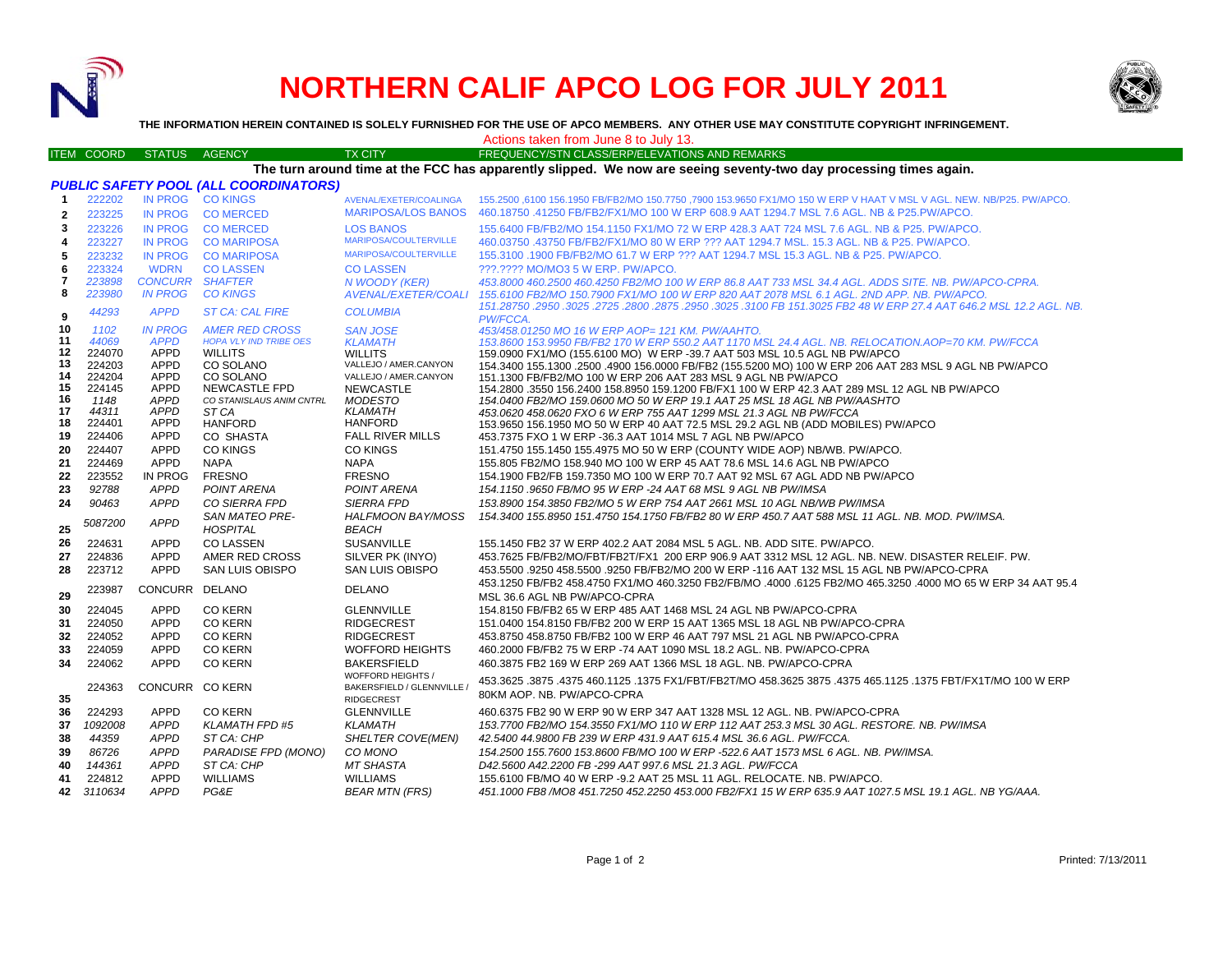

## **NORTHERN CALIF APCO LOG FOR JULY 2011**



**THE INFORMATION HEREIN CONTAINED IS SOLELY FURNISHED FOR THE USE OF APCO MEMBERS. ANY OTHER USE MAY CONSTITUTE COPYRIGHT INFRINGEMENT.**

ITEM COORD STATUS AGENCY TX CITY FREQUENCY/STN CLASS/ERP/ELEVATIONS AND REMARKS Actions taken from June 8 to July 13.

## **The turn around time at the FCC has apparently slipped. We now are seeing seventy-two day processing times again.**

| <b>PUBLIC SAFETY POOL (ALL COORDINATORS)</b> |                  |                            |                                |                                           |                                                                                                                                                       |  |  |  |  |
|----------------------------------------------|------------------|----------------------------|--------------------------------|-------------------------------------------|-------------------------------------------------------------------------------------------------------------------------------------------------------|--|--|--|--|
| $\mathbf{1}$                                 | 222202           | IN PROG                    | <b>CO KINGS</b>                | AVENAL/EXETER/COALINGA                    | 155,2500 .6100 156,1950 FB/FB2/MO 150,7750 .7900 153,9650 FX1/MO 150 W ERP V HAAT V MSL V AGL. NEW, NB/P25, PW/APCO,                                  |  |  |  |  |
| $\overline{2}$                               | 223225           |                            | IN PROG COMERCED               | <b>MARIPOSA/LOS BANOS</b>                 | 460.18750 .41250 FB/FB2/FX1/MO 100 W ERP 608.9 AAT 1294.7 MSL 7.6 AGL. NB & P25.PW/APCO.                                                              |  |  |  |  |
| 3                                            | 223226           |                            | IN PROG COMERCED               | <b>LOS BANOS</b>                          | 155,6400 FB/FB2/MO 154,1150 FX1/MO 72 W ERP 428.3 AAT 724 MSL 7.6 AGL, NB & P25, PW/APCO,                                                             |  |  |  |  |
| 4                                            | 223227           | <b>IN PROG</b>             | <b>CO MARIPOSA</b>             | <b>MARIPOSA/COULTERVILLE</b>              | 460.03750 .43750 FB/FB2/FX1/MO 80 W ERP ??? AAT 1294.7 MSL, 15.3 AGL, NB & P25, PW/APCO,                                                              |  |  |  |  |
| 5                                            | 223232           | <b>IN PROG</b>             | <b>CO MARIPOSA</b>             | <b>MARIPOSA/COULTERVILLE</b>              | 155.3100 .1900 FB/FB2/MO 61.7 W ERP ??? AAT 1294.7 MSL 15.3 AGL. NB & P25. PW/APCO.                                                                   |  |  |  |  |
| 6                                            | 223324           | <b>WDRN</b>                | <b>CO LASSEN</b>               | <b>CO LASSEN</b>                          | ???.???? MO/MO3 5 W ERP. PW/APCO.                                                                                                                     |  |  |  |  |
| $\overline{7}$                               | 223898           | <b>CONCURR SHAFTER</b>     |                                | N WOODY (KER)                             | 453.8000 460.2500 460.4250 FB2/MO 100 W ERP 86.8 AAT 733 MSL 34.4 AGL. ADDS SITE. NB. PW/APCO-CPRA.                                                   |  |  |  |  |
| 8                                            | 223980           | <b>IN PROG</b>             | <b>CO KINGS</b>                | <b>AVENAL/EXETER/COALI</b>                | 155.6100 FB2/MO 150.7900 FX1/MO 100 W ERP 820 AAT 2078 MSL 6.1 AGL. 2ND APP. NB. PW/APCO.                                                             |  |  |  |  |
|                                              | 44293            | <b>APPD</b>                | <b>ST CA: CAL FIRE</b>         | <b>COLUMBIA</b>                           | 151.28750 .2950 .3025 .2725 .2800 .2875 .2950 .3025 .3100 FB 151.3025 FB2 48 W ERP 27.4 AAT 646.2 MSL 12.2 AGL. NB.                                   |  |  |  |  |
| 9<br>10                                      | 1102             | <b>IN PROG</b>             | <b>AMER RED CROSS</b>          |                                           | <b>PW/FCCA.</b>                                                                                                                                       |  |  |  |  |
| 11                                           | 44069            | <b>APPD</b>                | <b>HOPA VLY IND TRIBE OES</b>  | <b>SAN JOSE</b><br><b>KLAMATH</b>         | 453/458.01250 MO 16 W ERP AOP= 121 KM. PW/AAHTO.<br>153.8600 153.9950 FB/FB2 170 W ERP 550.2 AAT 1170 MSL 24.4 AGL. NB. RELOCATION.AOP=70 KM. PW/FCCA |  |  |  |  |
| 12                                           | 224070           | <b>APPD</b>                | <b>WILLITS</b>                 | <b>WILLITS</b>                            | 159,0900 FX1/MO (155,6100 MO) W ERP -39,7 AAT 503 MSL 10.5 AGL NB PW/APCO                                                                             |  |  |  |  |
| 13                                           | 224203           | APPD                       | CO SOLANO                      | VALLEJO / AMER.CANYON                     | 154.3400 155.1300 .2500 .4900 156.0000 FB/FB2 (155.5200 MO) 100 W ERP 206 AAT 283 MSL 9 AGL NB PW/APCO                                                |  |  |  |  |
| 14                                           | 224204           | <b>APPD</b>                | CO SOLANO                      | VALLEJO / AMER.CANYON                     | 151.1300 FB/FB2/MO 100 W ERP 206 AAT 283 MSL 9 AGL NB PW/APCO                                                                                         |  |  |  |  |
| 15                                           | 224145           | <b>APPD</b>                | <b>NEWCASTLE FPD</b>           | <b>NEWCASTLE</b>                          | 154,2800 .3550 156,2400 158,8950 159,1200 FB/FX1 100 W ERP 42.3 AAT 289 MSL 12 AGL NB PW/APCO                                                         |  |  |  |  |
| 16                                           | 1148             | <b>APPD</b>                | CO STANISLAUS ANIM CNTRL       | <b>MODESTO</b>                            | 154.0400 FB2/MO 159.0600 MO 50 W ERP 19.1 AAT 25 MSL 18 AGL NB PW/AASHTO                                                                              |  |  |  |  |
| 17                                           | 44311            | APPD                       | ST <sub>CA</sub>               | <b>KLAMATH</b>                            | 453.0620 458.0620 FXO 6 W ERP 755 AAT 1299 MSL 21.3 AGL NB PW/FCCA                                                                                    |  |  |  |  |
| 18<br>19                                     | 224401<br>224406 | <b>APPD</b><br><b>APPD</b> | <b>HANFORD</b>                 | <b>HANFORD</b><br><b>FALL RIVER MILLS</b> | 153.9650 156.1950 MO 50 W ERP 40 AAT 72.5 MSL 29.2 AGL NB (ADD MOBILES) PW/APCO                                                                       |  |  |  |  |
| 20                                           |                  |                            | CO SHASTA                      |                                           | 453.7375 FXO 1 W ERP -36.3 AAT 1014 MSL 7 AGL NB PW/APCO                                                                                              |  |  |  |  |
| 21                                           | 224407<br>224469 | <b>APPD</b><br><b>APPD</b> | <b>CO KINGS</b><br><b>NAPA</b> | <b>CO KINGS</b><br><b>NAPA</b>            | 151.4750 155.1450 155.4975 MO 50 W ERP (COUNTY WIDE AOP) NB/WB. PW/APCO.<br>155.805 FB2/MO 158.940 MO 100 W ERP 45 AAT 78.6 MSL 14.6 AGL NB PW/APCO   |  |  |  |  |
| 22                                           | 223552           | IN PROG                    | <b>FRESNO</b>                  | <b>FRESNO</b>                             | 154.1900 FB2/FB 159.7350 MO 100 W ERP 70.7 AAT 92 MSL 67 AGL ADD NB PW/APCO                                                                           |  |  |  |  |
|                                              | 92788            | <b>APPD</b>                | POINT ARENA                    | POINT ARENA                               | 154.1150.9650 FB/MO 95 W ERP -24 AAT 68 MSL 9 AGL NB PW/IMSA                                                                                          |  |  |  |  |
| 23<br>24                                     | 90463            | <b>APPD</b>                | <b>CO SIERRA FPD</b>           | <b>SIERRA FPD</b>                         | 153.8900 154.3850 FB2/MO 5 W ERP 754 AAT 2661 MSL 10 AGL NB/WB PW/IMSA                                                                                |  |  |  |  |
|                                              |                  |                            | <b>SAN MATEO PRE-</b>          | HALFMOON BAY/MOSS                         |                                                                                                                                                       |  |  |  |  |
| 25                                           | 5087200          | <b>APPD</b>                | <b>HOSPITAL</b>                | <b>BEACH</b>                              | 154.3400 155.8950 151.4750 154.1750 FB/FB2 80 W ERP 450.7 AAT 588 MSL 11 AGL. NB. MOD. PW/IMSA.                                                       |  |  |  |  |
| 26                                           | 224631           | <b>APPD</b>                | <b>CO LASSEN</b>               | <b>SUSANVILLE</b>                         | 155.1450 FB2 37 W ERP 402.2 AAT 2084 MSL 5 AGL, NB, ADD SITE, PW/APCO.                                                                                |  |  |  |  |
| 27                                           | 224836           | <b>APPD</b>                | AMER RED CROSS                 | SILVER PK (INYO)                          | 453.7625 FB/FB2/MO/FBT/FB2T/FX1 200 ERP 906.9 AAT 3312 MSL 12 AGL. NB. NEW. DISASTER RELEIF. PW.                                                      |  |  |  |  |
| 28                                           | 223712           | <b>APPD</b>                | <b>SAN LUIS OBISPO</b>         | <b>SAN LUIS OBISPO</b>                    | 453.5500 .9250 458.5500 .9250 FB/FB2/MO 200 W ERP -116 AAT 132 MSL 15 AGL NB PW/APCO-CPRA                                                             |  |  |  |  |
|                                              |                  |                            |                                |                                           | 453.1250 FB/FB2 458.4750 FX1/MO 460.3250 FB2/FB/MO .4000 .6125 FB2/MO 465.3250 .4000 MO 65 W ERP 34 AAT 95.4                                          |  |  |  |  |
| 29                                           | 223987           | CONCURR DELANO             |                                | <b>DELANO</b>                             | MSL 36.6 AGL NB PW/APCO-CPRA                                                                                                                          |  |  |  |  |
| 30                                           | 224045           | <b>APPD</b>                | <b>CO KERN</b>                 | <b>GLENNVILLE</b>                         | 154.8150 FB/FB2 65 W ERP 485 AAT 1468 MSL 24 AGL NB PW/APCO-CPRA                                                                                      |  |  |  |  |
| 31                                           | 224050           | <b>APPD</b>                | <b>CO KERN</b>                 | <b>RIDGECREST</b>                         | 151.0400 154.8150 FB/FB2 200 W ERP 15 AAT 1365 MSL 18 AGL NB PW/APCO-CPRA                                                                             |  |  |  |  |
| 32                                           | 224052           | <b>APPD</b>                | <b>CO KERN</b>                 | <b>RIDGECREST</b>                         | 453.8750 458.8750 FB/FB2 100 W ERP 46 AAT 797 MSL 21 AGL NB PW/APCO-CPRA                                                                              |  |  |  |  |
| 33                                           | 224059           | <b>APPD</b>                | <b>CO KERN</b>                 | <b>WOFFORD HEIGHTS</b>                    | 460.2000 FB/FB2 75 W ERP -74 AAT 1090 MSL 18.2 AGL. NB. PW/APCO-CPRA                                                                                  |  |  |  |  |
| 34                                           | 224062           | <b>APPD</b>                | <b>CO KERN</b>                 | <b>BAKERSFIELD</b>                        | 460.3875 FB2 169 W ERP 269 AAT 1366 MSL 18 AGL, NB, PW/APCO-CPRA                                                                                      |  |  |  |  |
|                                              |                  |                            |                                | WOFFORD HEIGHTS /                         |                                                                                                                                                       |  |  |  |  |
|                                              | 224363           | CONCURR CO KERN            |                                | BAKERSFIELD / GLENNVILLE /                | 453.3625 .3875 .3875 .4375 465.1125 .1375 FX1/FBT/FB2T/MO 458.3625 3875 .4375 465.1125 .1375 FBT/FX1T/MO 100 W<br>80KM AOP. NB. PW/APCO-CPRA          |  |  |  |  |
| 35                                           |                  |                            |                                | <b>RIDGECREST</b>                         |                                                                                                                                                       |  |  |  |  |
| 36                                           | 224293           | <b>APPD</b>                | <b>CO KERN</b>                 | <b>GLENNVILLE</b>                         | 460.6375 FB2 90 W ERP 90 W ERP 347 AAT 1328 MSL 12 AGL, NB, PW/APCO-CPRA                                                                              |  |  |  |  |
| 37                                           | 1092008          | <b>APPD</b>                | <b>KLAMATH FPD #5</b>          | <b>KLAMATH</b>                            | 153.7700 FB2/MO 154.3550 FX1/MO 110 W ERP 112 AAT 253.3 MSL 30 AGL. RESTORE. NB. PW/IMSA                                                              |  |  |  |  |
| 38                                           | 44359            | <b>APPD</b>                | ST CA: CHP                     | SHELTER COVE(MEN)                         | 42.5400 44.9800 FB 239 W ERP 431.9 AAT 615.4 MSL 36.6 AGL. PW/FCCA.                                                                                   |  |  |  |  |
| 39                                           | 86726            | <b>APPD</b>                | PARADISE FPD (MONO)            | CO MONO                                   | 154.2500 155.7600 153.8600 FB/MO 100 W ERP -522.6 AAT 1573 MSL 6 AGL. NB. PW/IMSA.                                                                    |  |  |  |  |
| 40                                           | 144361           | <b>APPD</b>                | ST CA: CHP                     | <b>MT SHASTA</b>                          | D42.5600 A42.2200 FB -299 AAT 997.6 MSL 21.3 AGL, PW/FCCA                                                                                             |  |  |  |  |
| 41                                           | 224812           | <b>APPD</b>                | <b>WILLIAMS</b>                | <b>WILLIAMS</b>                           | 155,6100 FB/MO 40 W ERP -9.2 AAT 25 MSL 11 AGL. RELOCATE, NB, PW/APCO.                                                                                |  |  |  |  |
| 42                                           | 3110634          | <b>APPD</b>                | PG&E                           | <b>BEAR MTN (FRS)</b>                     | 451.1000 FB8 /MO8 451.7250 452.2250 453.000 FB2/FX1 15 W ERP 635.9 AAT 1027.5 MSL 19.1 AGL. NB YG/AAA.                                                |  |  |  |  |